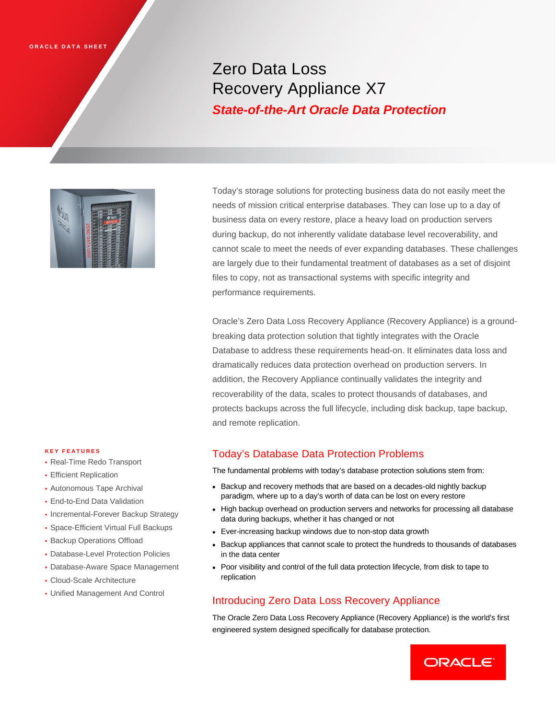# **ORACLE DATA SHEET**

# Zero Data Loss Recovery Appliance X7 *State-of-the-Art Oracle Data Protection*



Today's storage solutions for protecting business data do not easily meet the needs of mission critical enterprise databases. They can lose up to a day of business data on every restore, place a heavy load on production servers during backup, do not inherently validate database level recoverability, and cannot scale to meet the needs of ever expanding databases. These challenges are largely due to their fundamental treatment of databases as a set of disjoint files to copy, not as transactional systems with specific integrity and performance requirements.

Oracle's Zero Data Loss Recovery Appliance (Recovery Appliance) is a groundbreaking data protection solution that tightly integrates with the Oracle Database to address these requirements head-on. It eliminates data loss and dramatically reduces data protection overhead on production servers. In addition, the Recovery Appliance continually validates the integrity and recoverability of the data, scales to protect thousands of databases, and protects backups across the full lifecycle, including disk backup, tape backup, and remote replication.

# Today's Database Data Protection Problems

The fundamental problems with today's database protection solutions stem from:

- Backup and recovery methods that are based on a decades-old nightly backup paradigm, where up to a day's worth of data can be lost on every restore
- High backup overhead on production servers and networks for processing all database data during backups, whether it has changed or not
- Ever-increasing backup windows due to non-stop data growth
- Backup appliances that cannot scale to protect the hundreds to thousands of databases in the data center
- Poor visibility and control of the full data protection lifecycle, from disk to tape to replication

# Introducing Zero Data Loss Recovery Appliance

The Oracle Zero Data Loss Recovery Appliance (Recovery Appliance) is the world's first engineered system designed specifically for database protection.



#### **KEY FEATURES**

- Real-Time Redo Transport
- Efficient Replication
- Autonomous Tape Archival
- End-to-End Data Validation
- Incremental-Forever Backup Strategy
- Space-Efficient Virtual Full Backups
- Backup Operations Offload
- Database-Level Protection Policies
- Database-Aware Space Management
- Cloud-Scale Architecture
- Unified Management And Control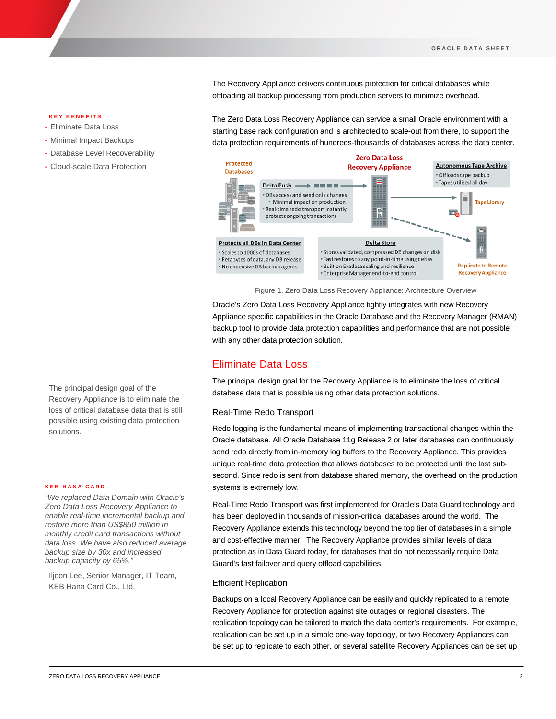The Recovery Appliance delivers continuous protection for critical databases while offloading all backup processing from production servers to minimize overhead.

**KEY BENEFITS**

- Eliminate Data Loss
- Minimal Impact Backups
- Database Level Recoverability
- Cloud-scale Data Protection

The principal design goal of the Recovery Appliance is to eliminate the loss of critical database data that is still possible using existing data protection solutions.

#### **KEB HANA CARD**

*"We replaced Data Domain with Oracle's Zero Data Loss Recovery Appliance to enable real-time incremental backup and restore more than US\$850 million in monthly credit card transactions without data loss. We have also reduced average backup size by 30x and increased backup capacity by 65%."*

Iljoon Lee, Senior Manager, IT Team, KEB Hana Card Co., Ltd.

The Zero Data Loss Recovery Appliance can service a small Oracle environment with a starting base rack configuration and is architected to scale-out from there, to support the data protection requirements of hundreds-thousands of databases across the data center.



#### Figure 1. Zero Data Loss Recovery Appliance: Architecture Overview

Oracle's Zero Data Loss Recovery Appliance tightly integrates with new Recovery Appliance specific capabilities in the Oracle Database and the Recovery Manager (RMAN) backup tool to provide data protection capabilities and performance that are not possible with any other data protection solution.

# Eliminate Data Loss

The principal design goal for the Recovery Appliance is to eliminate the loss of critical database data that is possible using other data protection solutions.

#### Real-Time Redo Transport

Redo logging is the fundamental means of implementing transactional changes within the Oracle database. All Oracle Database 11g Release 2 or later databases can continuously send redo directly from in-memory log buffers to the Recovery Appliance. This provides unique real-time data protection that allows databases to be protected until the last subsecond. Since redo is sent from database shared memory, the overhead on the production systems is extremely low.

Real-Time Redo Transport was first implemented for Oracle's Data Guard technology and has been deployed in thousands of mission-critical databases around the world. The Recovery Appliance extends this technology beyond the top tier of databases in a simple and cost-effective manner. The Recovery Appliance provides similar levels of data protection as in Data Guard today, for databases that do not necessarily require Data Guard's fast failover and query offload capabilities.

#### Efficient Replication

Backups on a local Recovery Appliance can be easily and quickly replicated to a remote Recovery Appliance for protection against site outages or regional disasters. The replication topology can be tailored to match the data center's requirements. For example, replication can be set up in a simple one-way topology, or two Recovery Appliances can be set up to replicate to each other, or several satellite Recovery Appliances can be set up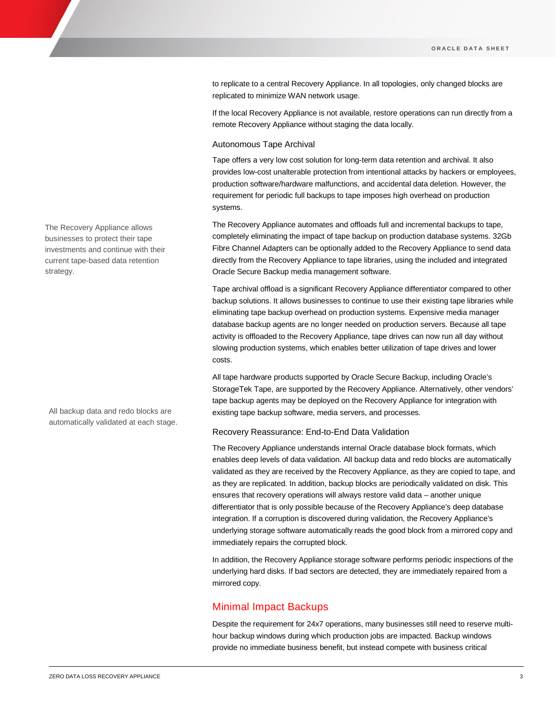to replicate to a central Recovery Appliance. In all topologies, only changed blocks are replicated to minimize WAN network usage.

If the local Recovery Appliance is not available, restore operations can run directly from a remote Recovery Appliance without staging the data locally.

# Autonomous Tape Archival

Tape offers a very low cost solution for long-term data retention and archival. It also provides low-cost unalterable protection from intentional attacks by hackers or employees, production software/hardware malfunctions, and accidental data deletion. However, the requirement for periodic full backups to tape imposes high overhead on production systems.

The Recovery Appliance automates and offloads full and incremental backups to tape, completely eliminating the impact of tape backup on production database systems. 32Gb Fibre Channel Adapters can be optionally added to the Recovery Appliance to send data directly from the Recovery Appliance to tape libraries, using the included and integrated Oracle Secure Backup media management software.

Tape archival offload is a significant Recovery Appliance differentiator compared to other backup solutions. It allows businesses to continue to use their existing tape libraries while eliminating tape backup overhead on production systems. Expensive media manager database backup agents are no longer needed on production servers. Because all tape activity is offloaded to the Recovery Appliance, tape drives can now run all day without slowing production systems, which enables better utilization of tape drives and lower costs.

All tape hardware products supported by Oracle Secure Backup, including Oracle's StorageTek Tape, are supported by the Recovery Appliance. Alternatively, other vendors' tape backup agents may be deployed on the Recovery Appliance for integration with existing tape backup software, media servers, and processes.

## Recovery Reassurance: End-to-End Data Validation

The Recovery Appliance understands internal Oracle database block formats, which enables deep levels of data validation. All backup data and redo blocks are automatically validated as they are received by the Recovery Appliance, as they are copied to tape, and as they are replicated. In addition, backup blocks are periodically validated on disk. This ensures that recovery operations will always restore valid data – another unique differentiator that is only possible because of the Recovery Appliance's deep database integration. If a corruption is discovered during validation, the Recovery Appliance's underlying storage software automatically reads the good block from a mirrored copy and immediately repairs the corrupted block.

In addition, the Recovery Appliance storage software performs periodic inspections of the underlying hard disks. If bad sectors are detected, they are immediately repaired from a mirrored copy.

# Minimal Impact Backups

Despite the requirement for 24x7 operations, many businesses still need to reserve multihour backup windows during which production jobs are impacted. Backup windows provide no immediate business benefit, but instead compete with business critical

The Recovery Appliance allows businesses to protect their tape investments and continue with their current tape-based data retention strategy.

All backup data and redo blocks are automatically validated at each stage.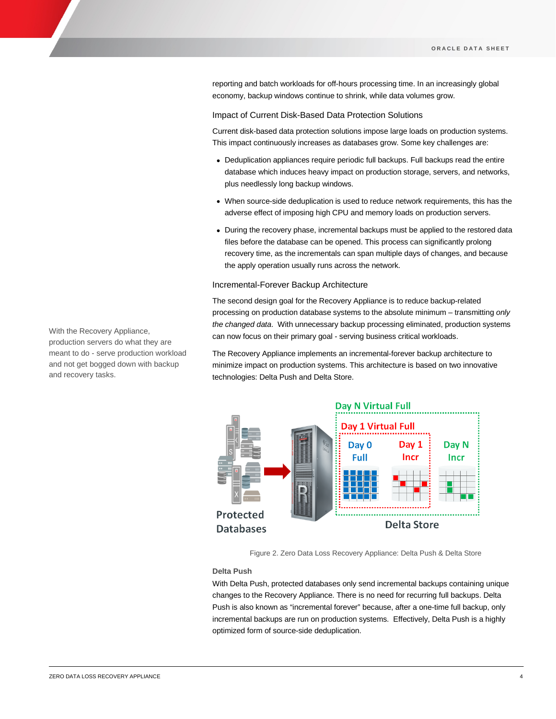reporting and batch workloads for off-hours processing time. In an increasingly global economy, backup windows continue to shrink, while data volumes grow.

Impact of Current Disk-Based Data Protection Solutions

Current disk-based data protection solutions impose large loads on production systems. This impact continuously increases as databases grow. Some key challenges are:

- Deduplication appliances require periodic full backups. Full backups read the entire database which induces heavy impact on production storage, servers, and networks, plus needlessly long backup windows.
- When source-side deduplication is used to reduce network requirements, this has the adverse effect of imposing high CPU and memory loads on production servers.
- During the recovery phase, incremental backups must be applied to the restored data files before the database can be opened. This process can significantly prolong recovery time, as the incrementals can span multiple days of changes, and because the apply operation usually runs across the network.

## Incremental-Forever Backup Architecture

The second design goal for the Recovery Appliance is to reduce backup-related processing on production database systems to the absolute minimum – transmitting *only the changed data*. With unnecessary backup processing eliminated, production systems can now focus on their primary goal - serving business critical workloads.

The Recovery Appliance implements an incremental-forever backup architecture to minimize impact on production systems. This architecture is based on two innovative technologies: Delta Push and Delta Store.



Figure 2. Zero Data Loss Recovery Appliance: Delta Push & Delta Store

# **Delta Push**

With Delta Push, protected databases only send incremental backups containing unique changes to the Recovery Appliance. There is no need for recurring full backups. Delta Push is also known as "incremental forever" because, after a one-time full backup, only incremental backups are run on production systems. Effectively, Delta Push is a highly optimized form of source-side deduplication.

With the Recovery Appliance, production servers do what they are meant to do - serve production workload and not get bogged down with backup and recovery tasks.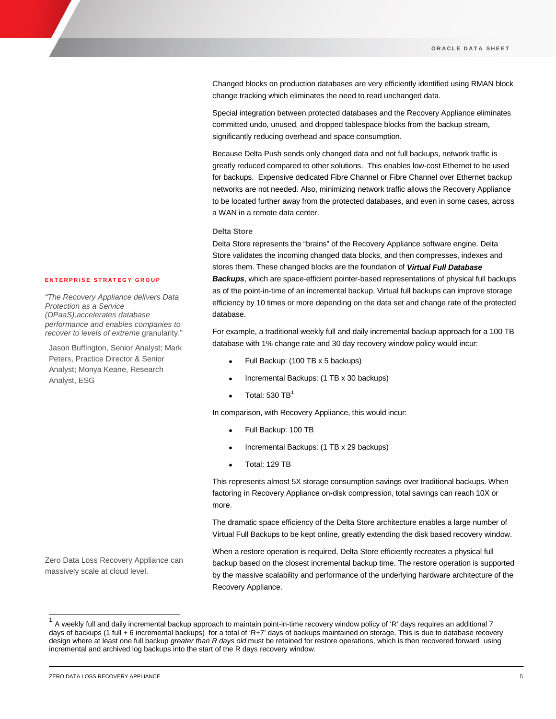Changed blocks on production databases are very efficiently identified using RMAN block change tracking which eliminates the need to read unchanged data.

Special integration between protected databases and the Recovery Appliance eliminates committed undo, unused, and dropped tablespace blocks from the backup stream, significantly reducing overhead and space consumption.

Because Delta Push sends only changed data and not full backups, network traffic is greatly reduced compared to other solutions. This enables low-cost Ethernet to be used for backups. Expensive dedicated Fibre Channel or Fibre Channel over Ethernet backup networks are not needed. Also, minimizing network traffic allows the Recovery Appliance to be located further away from the protected databases, and even in some cases, across a WAN in a remote data center.

#### **Delta Store**

Delta Store represents the "brains" of the Recovery Appliance software engine. Delta Store validates the incoming changed data blocks, and then compresses, indexes and stores them. These changed blocks are the foundation of *Virtual Full Database Backups*, which are space-efficient pointer-based representations of physical full backups

as of the point-in-time of an incremental backup. Virtual full backups can improve storage efficiency by 10 times or more depending on the data set and change rate of the protected database.

For example, a traditional weekly full and daily incremental backup approach for a 100 TB database with 1% change rate and 30 day recovery window policy would incur:

- Full Backup: (100 TB x 5 backups)
- Incremental Backups: (1 TB x 30 backups)
- Total:  $530$  TB<sup>[1](#page-4-0)</sup>

In comparison, with Recovery Appliance, this would incur:

- Full Backup: 100 TB
- Incremental Backups: (1 TB x 29 backups)
- Total: 129 TB

This represents almost 5X storage consumption savings over traditional backups. When factoring in Recovery Appliance on-disk compression, total savings can reach 10X or more.

The dramatic space efficiency of the Delta Store architecture enables a large number of Virtual Full Backups to be kept online, greatly extending the disk based recovery window.

When a restore operation is required, Delta Store efficiently recreates a physical full backup based on the closest incremental backup time. The restore operation is supported by the massive scalability and performance of the underlying hardware architecture of the Recovery Appliance.

#### **ENTERPRISE STRATEGY GROUP**

*"The Recovery Appliance delivers Data Protection as a Service (DPaaS),accelerates database performance and enables companies to recover to levels of extreme* granularity."

Jason Buffington, Senior Analyst; Mark Peters, Practice Director & Senior Analyst; Monya Keane, Research Analyst, ESG

Zero Data Loss Recovery Appliance can massively scale at cloud level.

<span id="page-4-0"></span> <sup>1</sup> A weekly full and daily incremental backup approach to maintain point-in-time recovery window policy of 'R' days requires an additional 7 days of backups (1 full + 6 incremental backups) for a total of 'R+7' days of backups maintained on storage. This is due to database recovery design where at least one full backup *greater than R days old* must be retained for restore operations, which is then recovered forward using incremental and archived log backups into the start of the R days recovery window.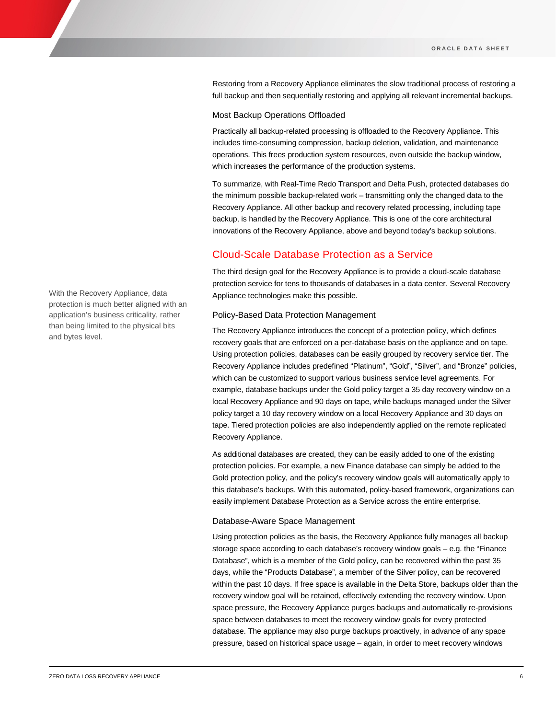Restoring from a Recovery Appliance eliminates the slow traditional process of restoring a full backup and then sequentially restoring and applying all relevant incremental backups.

## Most Backup Operations Offloaded

Practically all backup-related processing is offloaded to the Recovery Appliance. This includes time-consuming compression, backup deletion, validation, and maintenance operations. This frees production system resources, even outside the backup window, which increases the performance of the production systems.

To summarize, with Real-Time Redo Transport and Delta Push, protected databases do the minimum possible backup-related work – transmitting only the changed data to the Recovery Appliance. All other backup and recovery related processing, including tape backup, is handled by the Recovery Appliance. This is one of the core architectural innovations of the Recovery Appliance, above and beyond today's backup solutions.

# Cloud-Scale Database Protection as a Service

The third design goal for the Recovery Appliance is to provide a cloud-scale database protection service for tens to thousands of databases in a data center. Several Recovery Appliance technologies make this possible.

## Policy-Based Data Protection Management

The Recovery Appliance introduces the concept of a protection policy, which defines recovery goals that are enforced on a per-database basis on the appliance and on tape. Using protection policies, databases can be easily grouped by recovery service tier. The Recovery Appliance includes predefined "Platinum", "Gold", "Silver", and "Bronze" policies, which can be customized to support various business service level agreements. For example, database backups under the Gold policy target a 35 day recovery window on a local Recovery Appliance and 90 days on tape, while backups managed under the Silver policy target a 10 day recovery window on a local Recovery Appliance and 30 days on tape. Tiered protection policies are also independently applied on the remote replicated Recovery Appliance.

As additional databases are created, they can be easily added to one of the existing protection policies. For example, a new Finance database can simply be added to the Gold protection policy, and the policy's recovery window goals will automatically apply to this database's backups. With this automated, policy-based framework, organizations can easily implement Database Protection as a Service across the entire enterprise.

#### Database-Aware Space Management

Using protection policies as the basis, the Recovery Appliance fully manages all backup storage space according to each database's recovery window goals – e.g. the "Finance Database", which is a member of the Gold policy, can be recovered within the past 35 days, while the "Products Database", a member of the Silver policy, can be recovered within the past 10 days. If free space is available in the Delta Store, backups older than the recovery window goal will be retained, effectively extending the recovery window. Upon space pressure, the Recovery Appliance purges backups and automatically re-provisions space between databases to meet the recovery window goals for every protected database. The appliance may also purge backups proactively, in advance of any space pressure, based on historical space usage – again, in order to meet recovery windows

With the Recovery Appliance, data protection is much better aligned with an application's business criticality, rather than being limited to the physical bits and bytes level.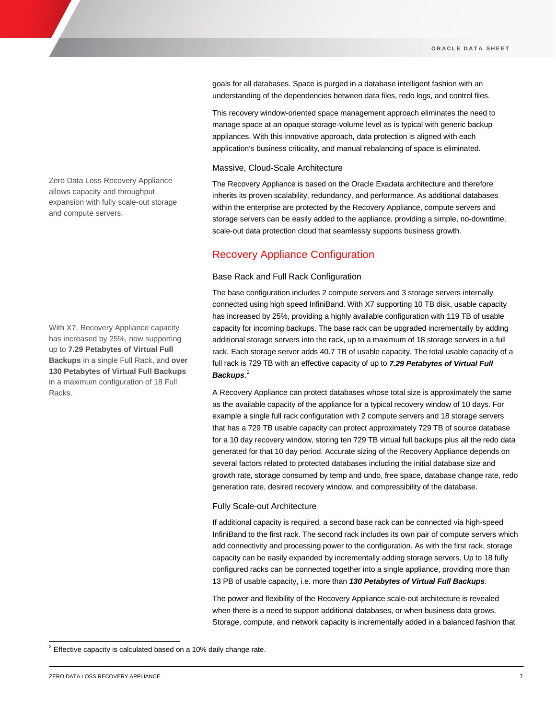goals for all databases. Space is purged in a database intelligent fashion with an understanding of the dependencies between data files, redo logs, and control files.

This recovery window-oriented space management approach eliminates the need to manage space at an opaque storage-volume level as is typical with generic backup appliances. With this innovative approach, data protection is aligned with each application's business criticality, and manual rebalancing of space is eliminated.

## Massive, Cloud-Scale Architecture

The Recovery Appliance is based on the Oracle Exadata architecture and therefore inherits its proven scalability, redundancy, and performance. As additional databases within the enterprise are protected by the Recovery Appliance, compute servers and storage servers can be easily added to the appliance, providing a simple, no-downtime, scale-out data protection cloud that seamlessly supports business growth.

# Recovery Appliance Configuration

## Base Rack and Full Rack Configuration

The base configuration includes 2 compute servers and 3 storage servers internally connected using high speed InfiniBand. With X7 supporting 10 TB disk, usable capacity has increased by 25%, providing a highly available configuration with 119 TB of usable capacity for incoming backups. The base rack can be upgraded incrementally by adding additional storage servers into the rack, up to a maximum of 18 storage servers in a full rack. Each storage server adds 40.7 TB of usable capacity. The total usable capacity of a full rack is 729 TB with an effective capacity of up to *7.29 Petabytes of Virtual Full Backups*. [2](#page-6-0)

A Recovery Appliance can protect databases whose total size is approximately the same as the available capacity of the appliance for a typical recovery window of 10 days. For example a single full rack configuration with 2 compute servers and 18 storage servers that has a 729 TB usable capacity can protect approximately 729 TB of source database for a 10 day recovery window, storing ten 729 TB virtual full backups plus all the redo data generated for that 10 day period. Accurate sizing of the Recovery Appliance depends on several factors related to protected databases including the initial database size and growth rate, storage consumed by temp and undo, free space, database change rate, redo generation rate, desired recovery window, and compressibility of the database.

## Fully Scale-out Architecture

If additional capacity is required, a second base rack can be connected via high-speed InfiniBand to the first rack. The second rack includes its own pair of compute servers which add connectivity and processing power to the configuration. As with the first rack, storage capacity can be easily expanded by incrementally adding storage servers. Up to 18 fully configured racks can be connected together into a single appliance, providing more than 13 PB of usable capacity, i.e. more than *130 Petabytes of Virtual Full Backups*.

The power and flexibility of the Recovery Appliance scale-out architecture is revealed when there is a need to support additional databases, or when business data grows. Storage, compute, and network capacity is incrementally added in a balanced fashion that

With X7, Recovery Appliance capacity has increased by 25%, now supporting up to **7.29 Petabytes of Virtual Full Backups** in a single Full Rack, and **over 130 Petabytes of Virtual Full Backups** in a maximum configuration of 18 Full Racks.

Zero Data Loss Recovery Appliance allows capacity and throughput expansion with fully scale-out storage and compute servers.

<span id="page-6-0"></span> $2$  Effective capacity is calculated based on a 10% daily change rate.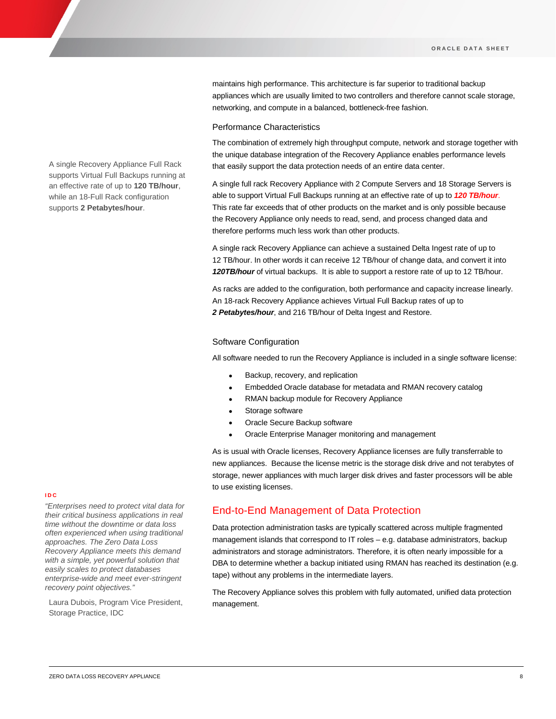maintains high performance. This architecture is far superior to traditional backup appliances which are usually limited to two controllers and therefore cannot scale storage, networking, and compute in a balanced, bottleneck-free fashion.

#### Performance Characteristics

The combination of extremely high throughput compute, network and storage together with the unique database integration of the Recovery Appliance enables performance levels that easily support the data protection needs of an entire data center.

A single full rack Recovery Appliance with 2 Compute Servers and 18 Storage Servers is able to support Virtual Full Backups running at an effective rate of up to *120 TB/hour*. This rate far exceeds that of other products on the market and is only possible because the Recovery Appliance only needs to read, send, and process changed data and therefore performs much less work than other products.

A single rack Recovery Appliance can achieve a sustained Delta Ingest rate of up to 12 TB/hour. In other words it can receive 12 TB/hour of change data, and convert it into *120TB/hour* of virtual backups. It is able to support a restore rate of up to 12 TB/hour.

As racks are added to the configuration, both performance and capacity increase linearly. An 18-rack Recovery Appliance achieves Virtual Full Backup rates of up to *2 Petabytes/hour*, and 216 TB/hour of Delta Ingest and Restore.

#### Software Configuration

All software needed to run the Recovery Appliance is included in a single software license:

- Backup, recovery, and replication
- Embedded Oracle database for metadata and RMAN recovery catalog
- RMAN backup module for Recovery Appliance
- Storage software
- Oracle Secure Backup software
- Oracle Enterprise Manager monitoring and management

As is usual with Oracle licenses, Recovery Appliance licenses are fully transferrable to new appliances. Because the license metric is the storage disk drive and not terabytes of storage, newer appliances with much larger disk drives and faster processors will be able to use existing licenses.

# End-to-End Management of Data Protection

Data protection administration tasks are typically scattered across multiple fragmented management islands that correspond to IT roles – e.g. database administrators, backup administrators and storage administrators. Therefore, it is often nearly impossible for a DBA to determine whether a backup initiated using RMAN has reached its destination (e.g. tape) without any problems in the intermediate layers.

The Recovery Appliance solves this problem with fully automated, unified data protection management.

A single Recovery Appliance Full Rack supports Virtual Full Backups running at an effective rate of up to **120 TB/hour**, while an 18-Full Rack configuration supports **2 Petabytes/hour**.

## **IDC**

*"Enterprises need to protect vital data for their critical business applications in real time without the downtime or data loss often experienced when using traditional approaches. The Zero Data Loss Recovery Appliance meets this demand with a simple, yet powerful solution that easily scales to protect databases enterprise-wide and meet ever-stringent recovery point objectives."*

Laura Dubois, Program Vice President, Storage Practice, IDC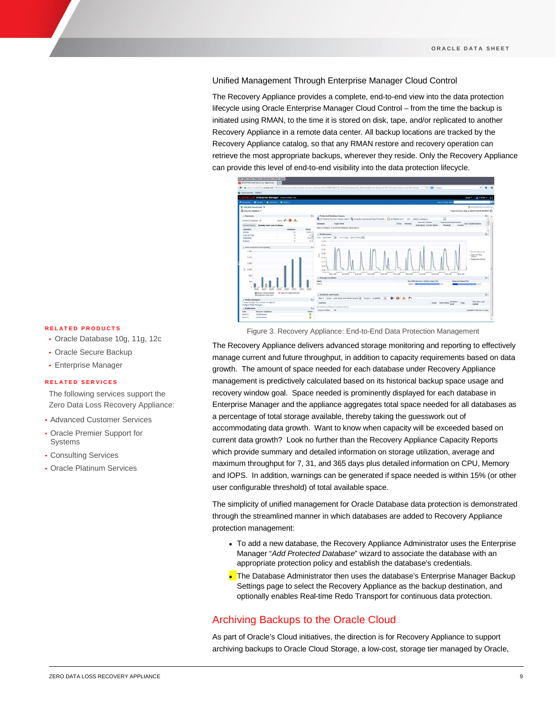## Unified Management Through Enterprise Manager Cloud Control

The Recovery Appliance provides a complete, end-to-end view into the data protection lifecycle using Oracle Enterprise Manager Cloud Control – from the time the backup is initiated using RMAN, to the time it is stored on disk, tape, and/or replicated to another Recovery Appliance in a remote data center. All backup locations are tracked by the Recovery Appliance catalog, so that any RMAN restore and recovery operation can retrieve the most appropriate backups, wherever they reside. Only the Recovery Appliance can provide this level of end-to-end visibility into the data protection lifecycle.



#### **RELATED PRODUCTS**

- Oracle Database 10g, 11g, 12c
- Oracle Secure Backup
- Enterprise Manager

#### **RELATED SERVICES**

The following services support the Zero Data Loss Recovery Appliance:

- Advanced Customer Services
- Oracle Premier Support for Systems
- Consulting Services
- Oracle Platinum Services

Figure 3. Recovery Appliance: End-to-End Data Protection Management

The Recovery Appliance delivers advanced storage monitoring and reporting to effectively manage current and future throughput, in addition to capacity requirements based on data growth. The amount of space needed for each database under Recovery Appliance management is predictively calculated based on its historical backup space usage and recovery window goal. Space needed is prominently displayed for each database in Enterprise Manager and the appliance aggregates total space needed for all databases as a percentage of total storage available, thereby taking the guesswork out of accommodating data growth. Want to know when capacity will be exceeded based on current data growth? Look no further than the Recovery Appliance Capacity Reports which provide summary and detailed information on storage utilization, average and maximum throughput for 7, 31, and 365 days plus detailed information on CPU, Memory and IOPS. In addition, warnings can be generated if space needed is within 15% (or other user configurable threshold) of total available space.

The simplicity of unified management for Oracle Database data protection is demonstrated through the streamlined manner in which databases are added to Recovery Appliance protection management:

- To add a new database, the Recovery Appliance Administrator uses the Enterprise Manager "*Add Protected Database*" wizard to associate the database with an appropriate protection policy and establish the database's credentials.
- The Database Administrator then uses the database's Enterprise Manager Backup Settings page to select the Recovery Appliance as the backup destination, and optionally enables Real-time Redo Transport for continuous data protection.

# Archiving Backups to the Oracle Cloud

As part of Oracle's Cloud initiatives, the direction is for Recovery Appliance to support archiving backups to Oracle Cloud Storage, a low-cost, storage tier managed by Oracle,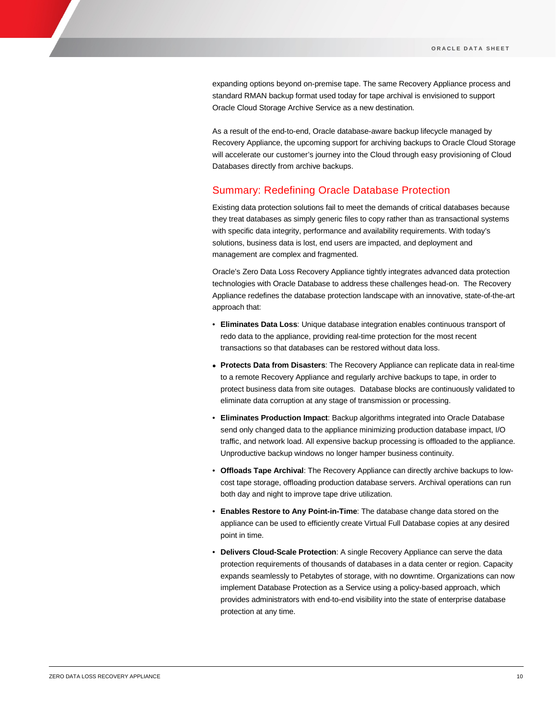expanding options beyond on-premise tape. The same Recovery Appliance process and standard RMAN backup format used today for tape archival is envisioned to support Oracle Cloud Storage Archive Service as a new destination.

As a result of the end-to-end, Oracle database-aware backup lifecycle managed by Recovery Appliance, the upcoming support for archiving backups to Oracle Cloud Storage will accelerate our customer's journey into the Cloud through easy provisioning of Cloud Databases directly from archive backups.

# Summary: Redefining Oracle Database Protection

Existing data protection solutions fail to meet the demands of critical databases because they treat databases as simply generic files to copy rather than as transactional systems with specific data integrity, performance and availability requirements. With today's solutions, business data is lost, end users are impacted, and deployment and management are complex and fragmented.

Oracle's Zero Data Loss Recovery Appliance tightly integrates advanced data protection technologies with Oracle Database to address these challenges head-on. The Recovery Appliance redefines the database protection landscape with an innovative, state-of-the-art approach that:

- **Eliminates Data Loss**: Unique database integration enables continuous transport of redo data to the appliance, providing real-time protection for the most recent transactions so that databases can be restored without data loss.
- **Protects Data from Disasters**: The Recovery Appliance can replicate data in real-time to a remote Recovery Appliance and regularly archive backups to tape, in order to protect business data from site outages. Database blocks are continuously validated to eliminate data corruption at any stage of transmission or processing.
- **Eliminates Production Impact**: Backup algorithms integrated into Oracle Database send only changed data to the appliance minimizing production database impact, I/O traffic, and network load. All expensive backup processing is offloaded to the appliance. Unproductive backup windows no longer hamper business continuity.
- **Offloads Tape Archival**: The Recovery Appliance can directly archive backups to lowcost tape storage, offloading production database servers. Archival operations can run both day and night to improve tape drive utilization.
- **Enables Restore to Any Point-in-Time**: The database change data stored on the appliance can be used to efficiently create Virtual Full Database copies at any desired point in time.
- **Delivers Cloud-Scale Protection**: A single Recovery Appliance can serve the data protection requirements of thousands of databases in a data center or region. Capacity expands seamlessly to Petabytes of storage, with no downtime. Organizations can now implement Database Protection as a Service using a policy-based approach, which provides administrators with end-to-end visibility into the state of enterprise database protection at any time.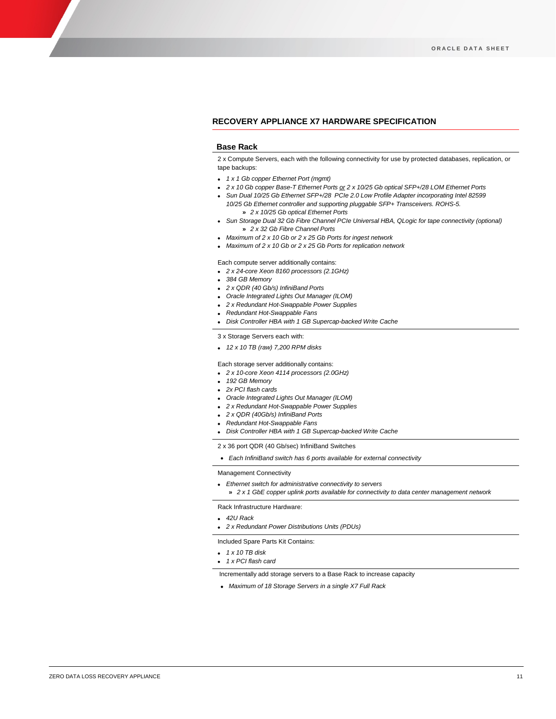# **RECOVERY APPLIANCE X7 HARDWARE SPECIFICATION**

## **Base Rack**

2 x Compute Servers, each with the following connectivity for use by protected databases, replication, or tape backups:

- *1 x 1 Gb copper Ethernet Port (mgmt)*
- *2 x 10 Gb copper Base-T Ethernet Ports or 2 x 10/25 Gb optical SFP+/28 LOM Ethernet Ports*
- *Sun Dual 10/25 Gb Ethernet SFP+/28 PCIe 2.0 Low Profile Adapter incorporating Intel 82599 10/25 Gb Ethernet controller and supporting pluggable SFP+ Transceivers. ROHS-5.* **»** *2 x 10/25 Gb optical Ethernet Ports*
- *Sun Storage Dual 32 Gb Fibre Channel PCIe Universal HBA, QLogic for tape connectivity (optional)* **»** *2 x 32 Gb Fibre Channel Ports*
- *Maximum of 2 x 10 Gb or 2 x 25 Gb Ports for ingest network*
- *Maximum of 2 x 10 Gb or 2 x 25 Gb Ports for replication network*

#### Each compute server additionally contains:

- *2 x 24-core Xeon 8160 processors (2.1GHz)*
- *384 GB Memory*
- *2 x QDR (40 Gb/s) InfiniBand Ports*
- *Oracle Integrated Lights Out Manager (ILOM)*
- *2 x Redundant Hot-Swappable Power Supplies*
- *Redundant Hot-Swappable Fans*
- *Disk Controller HBA with 1 GB Supercap-backed Write Cache*

3 x Storage Servers each with:

• *12 x 10 TB (raw) 7,200 RPM disks* 

#### Each storage server additionally contains:

- *2 x 10-core Xeon 4114 processors (2.0GHz)*
- *192 GB Memory*
- *2x PCI flash cards*
- *Oracle Integrated Lights Out Manager (ILOM)*
- *2 x Redundant Hot-Swappable Power Supplies*
- *2 x QDR (40Gb/s) InfiniBand Ports*
- *Redundant Hot-Swappable Fans*
- *Disk Controller HBA with 1 GB Supercap-backed Write Cache*

2 x 36 port QDR (40 Gb/sec) InfiniBand Switches

• *Each InfiniBand switch has 6 ports available for external connectivity*

Management Connectivity

• *Ethernet switch for administrative connectivity to servers* **»** *2 x 1 GbE copper uplink ports available for connectivity to data center management network*

Rack Infrastructure Hardware:

- *42U Rack*
- *2 x Redundant Power Distributions Units (PDUs)*

Included Spare Parts Kit Contains:

- *1 x 10 TB disk*
- *1 x PCI flash card*

Incrementally add storage servers to a Base Rack to increase capacity

• *Maximum of 18 Storage Servers in a single X7 Full Rack*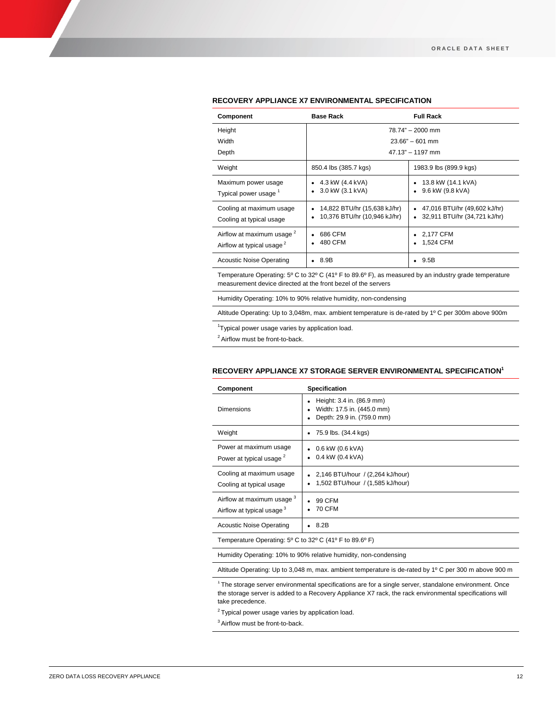| Component                                                                      | <b>Base Rack</b>                                             | <b>Full Rack</b>                                                         |
|--------------------------------------------------------------------------------|--------------------------------------------------------------|--------------------------------------------------------------------------|
| Height                                                                         | $78.74" - 2000$ mm                                           |                                                                          |
| Width                                                                          | $23.66" - 601$ mm                                            |                                                                          |
| Depth                                                                          | $47.13" - 1197$ mm                                           |                                                                          |
| Weight                                                                         | 850.4 lbs (385.7 kgs)                                        | 1983.9 lbs (899.9 kgs)                                                   |
| Maximum power usage<br>Typical power usage <sup>1</sup>                        | 4.3 kW (4.4 kVA)<br>3.0 kW (3.1 kVA)<br>٠                    | 13.8 kW (14.1 kVA)<br>9.6 kW (9.8 kVA)<br>٠                              |
| Cooling at maximum usage<br>Cooling at typical usage                           | 14,822 BTU/hr (15,638 kJ/hr)<br>10,376 BTU/hr (10,946 kJ/hr) | $\bullet$ 47,016 BTU/hr (49,602 kJ/hr)<br>• 32,911 BTU/hr (34,721 kJ/hr) |
| Airflow at maximum usage <sup>2</sup><br>Airflow at typical usage <sup>2</sup> | 686 CFM<br>480 CFM                                           | • 2,177 CFM<br>1,524 CFM<br>۰                                            |
| Acoustic Noise Operating                                                       | 8.9B                                                         | 9.5B                                                                     |

# **RECOVERY APPLIANCE X7 ENVIRONMENTAL SPECIFICATION**

Temperature Operating: 5º C to 32º C (41º F to 89.6º F), as measured by an industry grade temperature measurement device directed at the front bezel of the servers

Humidity Operating: 10% to 90% relative humidity, non-condensing

Altitude Operating: Up to 3,048m, max. ambient temperature is de-rated by 1º C per 300m above 900m

<sup>1</sup>Typical power usage varies by application load.

2 Airflow must be front-to-back.

#### **RECOVERY APPLIANCE X7 STORAGE SERVER ENVIRONMENTAL SPECIFICATION1**

| Component                                                           | <b>Specification</b>                                                                                 |  |
|---------------------------------------------------------------------|------------------------------------------------------------------------------------------------------|--|
| Dimensions                                                          | Height: 3.4 in. (86.9 mm)<br>٠<br>Width: 17.5 in. (445.0 mm)<br>٠<br>Depth: 29.9 in. (759.0 mm)<br>٠ |  |
| Weight                                                              | 75.9 lbs. (34.4 kgs)<br>٠                                                                            |  |
| Power at maximum usage<br>Power at typical usage <sup>2</sup>       | 0.6 kW (0.6 kVA)<br>٠<br>0.4 kW (0.4 kVA)                                                            |  |
| Cooling at maximum usage<br>Cooling at typical usage                | 2,146 BTU/hour / (2,264 kJ/hour)<br>1,502 BTU/hour / (1,585 kJ/hour)                                 |  |
| Airflow at maximum usage 3<br>Airflow at typical usage <sup>3</sup> | 99 CFM<br>٠<br><b>70 CFM</b>                                                                         |  |
| <b>Acoustic Noise Operating</b>                                     | 8.2B                                                                                                 |  |
| Temperature Operating: 5° C to 32° C (41° F to 89.6° F)             |                                                                                                      |  |
| Humidity Operating: 10% to 90% relative humidity, non-condensing    |                                                                                                      |  |

Altitude Operating: Up to 3,048 m, max. ambient temperature is de-rated by 1º C per 300 m above 900 m

 $1$ The storage server environmental specifications are for a single server, standalone environment. Once the storage server is added to a Recovery Appliance X7 rack, the rack environmental specifications will take precedence.

 $2$  Typical power usage varies by application load.

<sup>3</sup> Airflow must be front-to-back.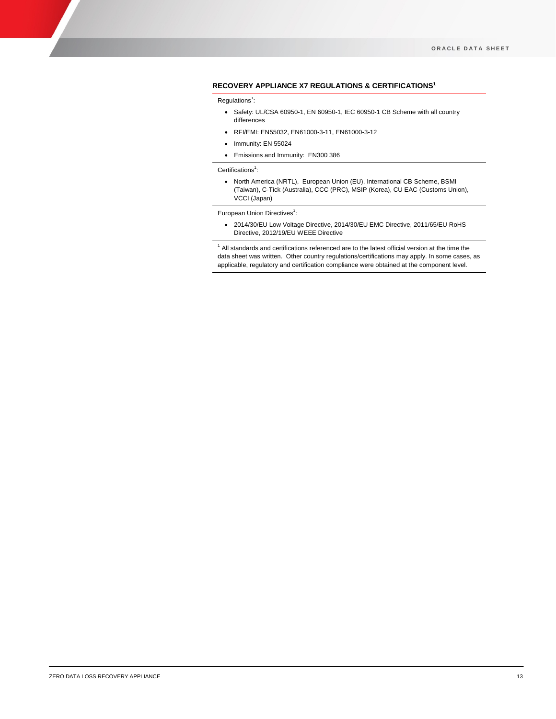# **RECOVERY APPLIANCE X7 REGULATIONS & CERTIFICATIONS<sup>1</sup>**

Regulations<sup>1</sup>:

- Safety: UL/CSA 60950-1, EN 60950-1, IEC 60950-1 CB Scheme with all country differences
- RFI/EMI: EN55032, EN61000-3-11, EN61000-3-12
- Immunity: EN 55024
- Emissions and Immunity: EN300 386

Certifications<sup>1</sup>:

• North America (NRTL), European Union (EU), International CB Scheme, BSMI (Taiwan), C-Tick (Australia), CCC (PRC), MSIP (Korea), CU EAC (Customs Union), VCCI (Japan)

European Union Directives<sup>1</sup>:

• 2014/30/EU Low Voltage Directive, 2014/30/EU EMC Directive, 2011/65/EU RoHS Directive, 2012/19/EU WEEE Directive

 $<sup>1</sup>$  All standards and certifications referenced are to the latest official version at the time the</sup> data sheet was written. Other country regulations/certifications may apply. In some cases, as applicable, regulatory and certification compliance were obtained at the component level.